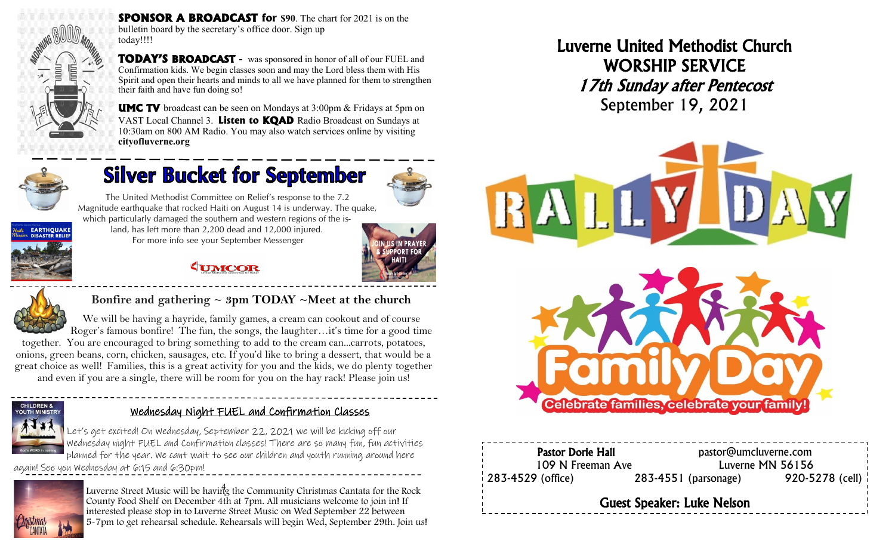

**SPONSOR A BROADCAST for \$90**. The chart for 2021 is on the bulletin board by the secretary's office door. Sign up today!!!!

**TODAY'S BROADCAST -** was sponsored in honor of all of our FUEL and Confirmation kids. We begin classes soon and may the Lord bless them with His Spirit and open their hearts and minds to all we have planned for them to strengthen their faith and have fun doing so!

**UMC TV** broadcast can be seen on Mondays at 3:00pm & Fridays at 5pm on VAST Local Channel 3. **Listen to KQAD** Radio Broadcast on Sundays at 10:30am on 800 AM Radio. You may also watch services online by visiting **cityofluverne.org**

 $\overline{\phantom{0}}$ 



# **Silver Bucket for September**



The United Methodist Committee on Relief's response to the 7.2 Magnitude earthquake that rocked Haiti on August 14 is underway. The quake, which particularly damaged the southern and western regions of the is-



land, has left more than 2,200 dead and 12,000 injured. For more info see your September Messenger



### **EUMCOR**



**Bonfire and gathering ~ 3pm TODAY ~Meet at the church** 

We will be having a hayride, family games, a cream can cookout and of course Roger's famous bonfire! The fun, the songs, the laughter…it's time for a good time together. You are encouraged to bring something to add to the cream can...carrots, potatoes, onions, green beans, corn, chicken, sausages, etc. If you'd like to bring a dessert, that would be a great choice as well! Families, this is a great activity for you and the kids, we do plenty together

and even if you are a single, there will be room for you on the hay rack! Please join us!



#### Wednesday Night FUEL and Confirmation Classes

 $\ddot{\phantom{0}}$ 

Let's get excited! On Wednesday, September 22, 2021 we will be kicking off our Wednesday night FUEL and Confirmation classes! There are so many fun, fun activities planned for the year. We cant wait to see our children and youth running around here

again! See you Wednesday at 6:15 and 6:30pm!



4 Luverne Street Music will be having the Community Christmas Cantata for the Rock County Food Shelf on December 4th at 7pm. All musicians welcome to join in! If interested please stop in to Luverne Street Music on Wed September 22 between 5-7pm to get rehearsal schedule. Rehearsals will begin Wed, September 29th. Join us! Luverne United Methodist Church WORSHIP SERVICE 17th Sunday after Pentecost September 19, 2021



Pastor Dorie Hall **Pastor** pastor@umcluverne.com 109 N Freeman Ave Luverne MN 56156 283-4529 (office) 283-4551 (parsonage) 920-5278 (cell) Guest Speaker: Luke Nelson